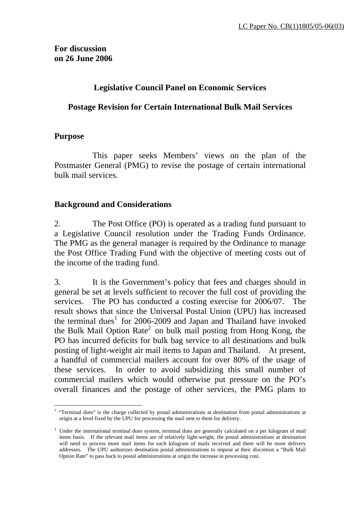# **Legislative Council Panel on Economic Services**

# **Postage Revision for Certain International Bulk Mail Services**

#### **Purpose**

 This paper seeks Members' views on the plan of the Postmaster General (PMG) to revise the postage of certain international bulk mail services.

#### **Background and Considerations**

2. The Post Office (PO) is operated as a trading fund pursuant to a Legislative Council resolution under the Trading Funds Ordinance. The PMG as the general manager is required by the Ordinance to manage the Post Office Trading Fund with the objective of meeting costs out of the income of the trading fund.

3. It is the Government's policy that fees and charges should in general be set at levels sufficient to recover the full cost of providing the services. The PO has conducted a costing exercise for 2006/07. The result shows that since the Universal Postal Union (UPU) has increased the terminal dues<sup>1</sup> for 2006-2009 and Japan and Thailand have invoked the Bulk Mail Option Rate<sup>2</sup> on bulk mail posting from Hong Kong, the PO has incurred deficits for bulk bag service to all destinations and bulk posting of light-weight air mail items to Japan and Thailand. At present, a handful of commercial mailers account for over 80% of the usage of these services. In order to avoid subsidizing this small number of commercial mailers which would otherwise put pressure on the PO's overall finances and the postage of other services, the PMG plans to

l <sup>1</sup> "Terminal dues" is the charge collected by postal administrations at destination from postal administrations at origin at a level fixed by the UPU for processing the mail sent to them for delivery.

<sup>&</sup>lt;sup>2</sup> Under the international terminal dues system, terminal dues are generally calculated on a per kilogram of mail items basis. If the relevant mail items are of relatively light-weight, the postal administrations at destination will need to process more mail items for each kilogram of mails received and there will be more delivery addresses. The UPU authorizes destination postal administrations to impose at their discretion a "Bulk Mail Option Rate" to pass back to postal administrations at origin the increase in processing cost.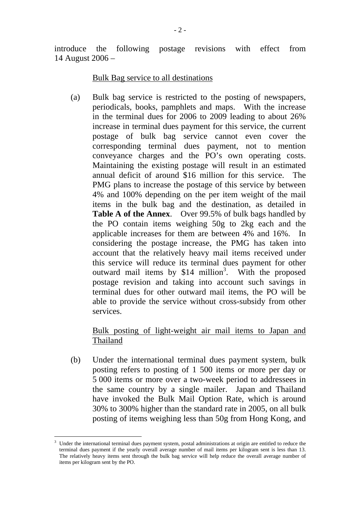introduce the following postage revisions with effect from 14 August 2006 –

Bulk Bag service to all destinations

(a) Bulk bag service is restricted to the posting of newspapers, periodicals, books, pamphlets and maps. With the increase in the terminal dues for 2006 to 2009 leading to about 26% increase in terminal dues payment for this service, the current postage of bulk bag service cannot even cover the corresponding terminal dues payment, not to mention conveyance charges and the PO's own operating costs. Maintaining the existing postage will result in an estimated annual deficit of around \$16 million for this service. The PMG plans to increase the postage of this service by between 4% and 100% depending on the per item weight of the mail items in the bulk bag and the destination, as detailed in **Table A of the Annex**. Over 99.5% of bulk bags handled by the PO contain items weighing 50g to 2kg each and the applicable increases for them are between 4% and 16%. In considering the postage increase, the PMG has taken into account that the relatively heavy mail items received under this service will reduce its terminal dues payment for other outward mail items by  $$14$  million<sup>3</sup>. With the proposed postage revision and taking into account such savings in terminal dues for other outward mail items, the PO will be able to provide the service without cross-subsidy from other services.

## Bulk posting of light-weight air mail items to Japan and Thailand

(b) Under the international terminal dues payment system, bulk posting refers to posting of 1 500 items or more per day or 5 000 items or more over a two-week period to addressees in the same country by a single mailer. Japan and Thailand have invoked the Bulk Mail Option Rate, which is around 30% to 300% higher than the standard rate in 2005, on all bulk posting of items weighing less than 50g from Hong Kong, and

l

<sup>3</sup> Under the international terminal dues payment system, postal administrations at origin are entitled to reduce the terminal dues payment if the yearly overall average number of mail items per kilogram sent is less than 13. The relatively heavy items sent through the bulk bag service will help reduce the overall average number of items per kilogram sent by the PO.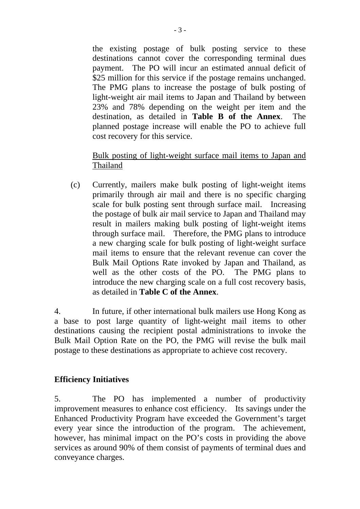the existing postage of bulk posting service to these destinations cannot cover the corresponding terminal dues payment. The PO will incur an estimated annual deficit of \$25 million for this service if the postage remains unchanged. The PMG plans to increase the postage of bulk posting of light-weight air mail items to Japan and Thailand by between 23% and 78% depending on the weight per item and the destination, as detailed in **Table B of the Annex**. The planned postage increase will enable the PO to achieve full cost recovery for this service.

# Bulk posting of light-weight surface mail items to Japan and Thailand

(c) Currently, mailers make bulk posting of light-weight items primarily through air mail and there is no specific charging scale for bulk posting sent through surface mail. Increasing the postage of bulk air mail service to Japan and Thailand may result in mailers making bulk posting of light-weight items through surface mail. Therefore, the PMG plans to introduce a new charging scale for bulk posting of light-weight surface mail items to ensure that the relevant revenue can cover the Bulk Mail Options Rate invoked by Japan and Thailand, as well as the other costs of the PO. The PMG plans to introduce the new charging scale on a full cost recovery basis, as detailed in **Table C of the Annex**.

4. In future, if other international bulk mailers use Hong Kong as a base to post large quantity of light-weight mail items to other destinations causing the recipient postal administrations to invoke the Bulk Mail Option Rate on the PO, the PMG will revise the bulk mail postage to these destinations as appropriate to achieve cost recovery.

#### **Efficiency Initiatives**

5. The PO has implemented a number of productivity improvement measures to enhance cost efficiency. Its savings under the Enhanced Productivity Program have exceeded the Government's target every year since the introduction of the program. The achievement, however, has minimal impact on the PO's costs in providing the above services as around 90% of them consist of payments of terminal dues and conveyance charges.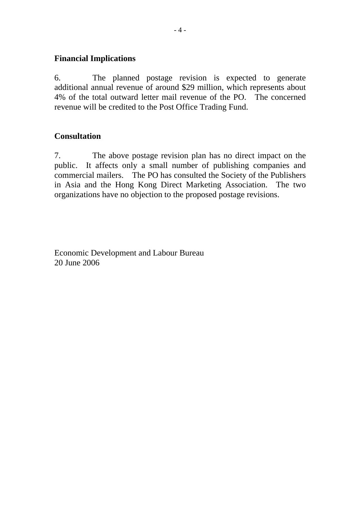#### **Financial Implications**

6. The planned postage revision is expected to generate additional annual revenue of around \$29 million, which represents about 4% of the total outward letter mail revenue of the PO. The concerned revenue will be credited to the Post Office Trading Fund.

## **Consultation**

7. The above postage revision plan has no direct impact on the public. It affects only a small number of publishing companies and commercial mailers. The PO has consulted the Society of the Publishers in Asia and the Hong Kong Direct Marketing Association. The two organizations have no objection to the proposed postage revisions.

Economic Development and Labour Bureau 20 June 2006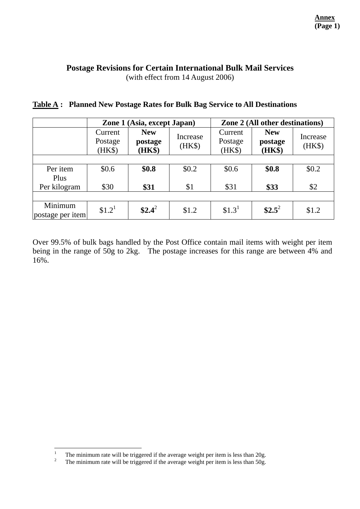# **Postage Revisions for Certain International Bulk Mail Services**

(with effect from 14 August 2006)

|                             | Zone 1 (Asia, except Japan)  |                                 |                    | Zone 2 (All other destinations) |                                 |                    |
|-----------------------------|------------------------------|---------------------------------|--------------------|---------------------------------|---------------------------------|--------------------|
|                             | Current<br>Postage<br>(HK\$) | <b>New</b><br>postage<br>(HK\$) | Increase<br>$(HK\$ | Current<br>Postage<br>(HK\$)    | <b>New</b><br>postage<br>(HK\$) | Increase<br>(HK\$) |
|                             |                              |                                 |                    |                                 |                                 |                    |
| Per item<br>Plus            | \$0.6\$                      | \$0.8                           | \$0.2\$            | \$0.6                           | \$0.8                           | \$0.2\$            |
| Per kilogram                | \$30                         | \$31                            | \$1                | \$31                            | \$33                            | \$2                |
|                             |                              |                                 |                    |                                 |                                 |                    |
| Minimum<br>postage per item | \$1.2 <sup>1</sup>           | $$2.4^2$                        | \$1.2              | \$1.3 <sup>1</sup>              | $$2.5^2$                        | \$1.2              |

#### **Table A : Planned New Postage Rates for Bulk Bag Service to All Destinations**

Over 99.5% of bulk bags handled by the Post Office contain mail items with weight per item being in the range of 50g to 2kg. The postage increases for this range are between 4% and 16%.

 $\frac{1}{1}$ The minimum rate will be triggered if the average weight per item is less than 20g.

<sup>2</sup> The minimum rate will be triggered if the average weight per item is less than 50g.